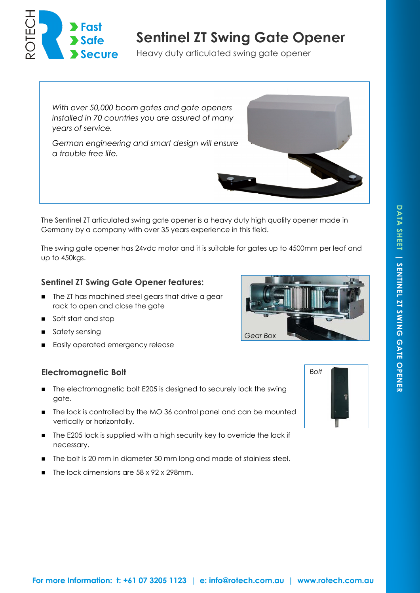

# **Sentinel ZT Swing Gate Opener**

Heavy duty articulated swing gate opener

*With over 50,000 boom gates and gate openers installed in 70 countries you are assured of many years of service.* 

*German engineering and smart design will ensure a trouble free life.*

The Sentinel ZT articulated swing gate opener is a heavy duty high quality opener made in Germany by a company with over 35 years experience in this field.

The swing gate opener has 24vdc motor and it is suitable for gates up to 4500mm per leaf and up to 450kgs.

## **Sentinel ZT Swing Gate Opener features:**

- The ZT has machined steel gears that drive a gear rack to open and close the gate
- soft start and stop
- safety sensing
- **Easily operated emergency release**

# **Electromagnetic Bolt**

- The electromagnetic bolt E205 is designed to securely lock the swing gate.
- The lock is controlled by the MO 36 control panel and can be mounted vertically or horizontally.
- The E205 lock is supplied with a high security key to override the lock if necessary.
- The bolt is 20 mm in diameter 50 mm long and made of stainless steel.
- The lock dimensions are 58 x 92 x 298mm.